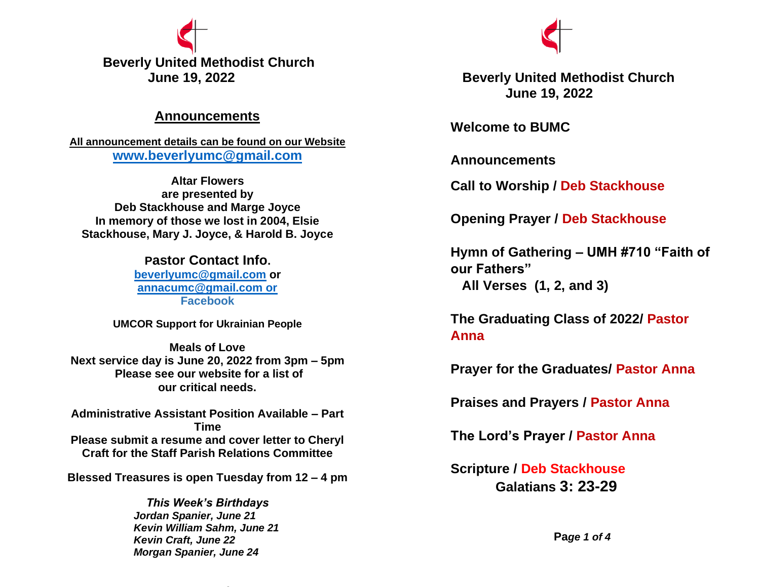

## **Announcements**

**All announcement details can be found on our Website [www.beverlyumc@gmail.com](http://www.beverlyumc@gmail.com/)**

**Altar Flowers are presented by Deb Stackhouse and Marge Joyce In memory of those we lost in 2004, Elsie Stackhouse, Mary J. Joyce, & Harold B. Joyce**

> **Pastor Contact Info. [beverlyumc@gmail.com](mailto:beverlyumc@gmail.com) or [annacumc@gmail.com or](mailto:annacumc@gmail.com%20or) Facebook**

**UMCOR Support for Ukrainian People**

**Meals of Love Next service day is June 20, 2022 from 3pm – 5pm Please see our website for a list of our critical needs.**

**Administrative Assistant Position Available – Part Time Please submit a resume and cover letter to Cheryl Craft for the Staff Parish Relations Committee**

**Blessed Treasures is open Tuesday from 12 – 4 pm**

*This Week's Birthdays Jordan Spanier, June 21 Kevin William Sahm, June 21 Kevin Craft, June 22 Morgan Spanier, June 24* 



 **June 19, 2022 Beverly United Methodist Church June 19, 2022**

**Welcome to BUMC**

**Announcements**

**Call to Worship / Deb Stackhouse**

**Opening Prayer / Deb Stackhouse**

**Hymn of Gathering – UMH #710 "Faith of our Fathers" All Verses (1, 2, and 3)**

**The Graduating Class of 2022/ Pastor Anna**

**Prayer for the Graduates/ Pastor Anna**

**Praises and Prayers / Pastor Anna**

**The Lord's Prayer / Pastor Anna**

**Scripture / Deb Stackhouse Galatians 3: 23-29**